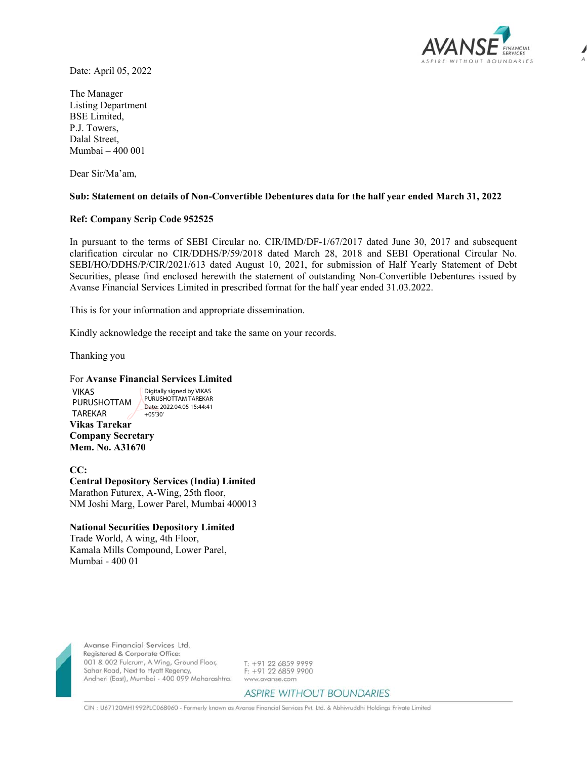

Date: April 05, 2022

The Manager Listing Department BSE Limited, P.J. Towers, Dalal Street, Mumbai – 400 001

Dear Sir/Ma'am,

## **Sub: Statement on details of Non-Convertible Debentures data for the half year ended March 31, 2022**

## **Ref: Company Scrip Code 952525**

In pursuant to the terms of SEBI Circular no. CIR/IMD/DF-1/67/2017 dated June 30, 2017 and subsequent clarification circular no CIR/DDHS/P/59/2018 dated March 28, 2018 and SEBI Operational Circular No. SEBI/HO/DDHS/P/CIR/2021/613 dated August 10, 2021, for submission of Half Yearly Statement of Debt Securities, please find enclosed herewith the statement of outstanding Non-Convertible Debentures issued by Avanse Financial Services Limited in prescribed format for the half year ended 31.03.2022.

This is for your information and appropriate dissemination.

Kindly acknowledge the receipt and take the same on your records.

Thanking you

VIKAS

## For **Avanse Financial Services Limited**

**Vikas Tarekar**  PURUSHOTTAM TAREKAR Digitally signed by VIKAS PURUSHOTTAM TAREKAR Date: 2022.04.05 15:44:41 +05'30'

**Company Secretary Mem. No. A31670** 

**CC: Central Depository Services (India) Limited**  Marathon Futurex, A-Wing, 25th floor, NM Joshi Marg, Lower Parel, Mumbai 400013

## **National Securities Depository Limited**

Trade World, A wing, 4th Floor, Kamala Mills Compound, Lower Parel, Mumbai - 400 01



Avanse Financial Services Ltd. Registered & Corporate Office: 001 & 002 Fulcrum, A Wing, Ground Floor, Sahar Road, Next to Hyatt Regency, Andheri (East), Mumbai - 400 099 Maharashtra.

T: +91 22 6859 9999 F: +91 22 6859 9900 www.avanse.com

**ASPIRE WITHOUT BOUNDARIES** 

CIN : U67120MH1992PLC068060 - Formerly known as Avanse Financial Services Pvt. Ltd. & Abhivruddhi Holdings Private Limited